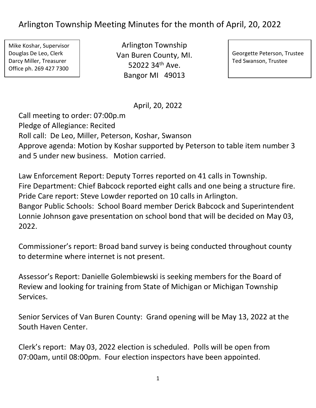## Arlington Township Meeting Minutes for the month of April, 20, 2022

Mike Koshar, Supervisor Douglas De Leo, Clerk Darcy Miller, Treasurer Office ph. 269 427 7300

Arlington Township Van Buren County, MI. 52022 34th Ave. Bangor MI 49013

Georgette Peterson, Trustee Ted Swanson, Trustee

April, 20, 2022

Call meeting to order: 07:00p.m Pledge of Allegiance: Recited Roll call: De Leo, Miller, Peterson, Koshar, Swanson Approve agenda: Motion by Koshar supported by Peterson to table item number 3 and 5 under new business. Motion carried.

Law Enforcement Report: Deputy Torres reported on 41 calls in Township. Fire Department: Chief Babcock reported eight calls and one being a structure fire. Pride Care report: Steve Lowder reported on 10 calls in Arlington. Bangor Public Schools: School Board member Derick Babcock and Superintendent Lonnie Johnson gave presentation on school bond that will be decided on May 03, 2022.

Commissioner's report: Broad band survey is being conducted throughout county to determine where internet is not present.

Assessor's Report: Danielle Golembiewski is seeking members for the Board of Review and looking for training from State of Michigan or Michigan Township Services.

Senior Services of Van Buren County: Grand opening will be May 13, 2022 at the South Haven Center.

Clerk's report: May 03, 2022 election is scheduled. Polls will be open from 07:00am, until 08:00pm. Four election inspectors have been appointed.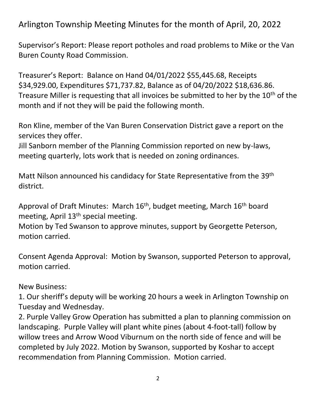Arlington Township Meeting Minutes for the month of April, 20, 2022

Supervisor's Report: Please report potholes and road problems to Mike or the Van Buren County Road Commission.

Treasurer's Report: Balance on Hand 04/01/2022 \$55,445.68, Receipts \$34,929.00, Expenditures \$71,737.82, Balance as of 04/20/2022 \$18,636.86. Treasure Miller is requesting that all invoices be submitted to her by the 10<sup>th</sup> of the month and if not they will be paid the following month.

Ron Kline, member of the Van Buren Conservation District gave a report on the services they offer.

Jill Sanborn member of the Planning Commission reported on new by-laws, meeting quarterly, lots work that is needed on zoning ordinances.

Matt Nilson announced his candidacy for State Representative from the 39th district.

Approval of Draft Minutes: March  $16<sup>th</sup>$ , budget meeting, March  $16<sup>th</sup>$  board meeting, April  $13<sup>th</sup>$  special meeting.

Motion by Ted Swanson to approve minutes, support by Georgette Peterson, motion carried.

Consent Agenda Approval: Motion by Swanson, supported Peterson to approval, motion carried.

New Business:

1. Our sheriff's deputy will be working 20 hours a week in Arlington Township on Tuesday and Wednesday.

2. Purple Valley Grow Operation has submitted a plan to planning commission on landscaping. Purple Valley will plant white pines (about 4-foot-tall) follow by willow trees and Arrow Wood Viburnum on the north side of fence and will be completed by July 2022. Motion by Swanson, supported by Koshar to accept recommendation from Planning Commission. Motion carried.